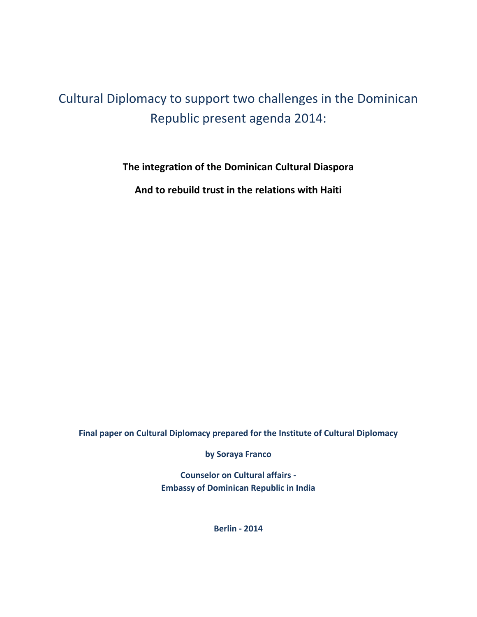# Cultural Diplomacy to support two challenges in the Dominican Republic present agenda 2014:

**The integration of the Dominican Cultural Diaspora**

**And to rebuild trust in the relations with Haiti**

**Final paper on Cultural Diplomacy prepared for the Institute of Cultural Diplomacy**

**by Soraya Franco**

**Counselor on Cultural affairs - Embassy of Dominican Republic in India**

**Berlin - 2014**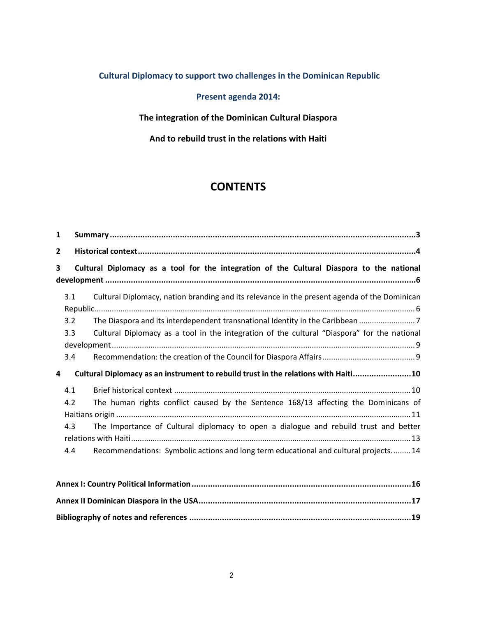# **Cultural Diplomacy to support two challenges in the Dominican Republic**

# **Present agenda 2014:**

**The integration of the Dominican Cultural Diaspora** 

### **And to rebuild trust in the relations with Haiti**

# **CONTENTS**

| 1                                                                                              |                                                                                            |                                                                                                                                                                            |  |
|------------------------------------------------------------------------------------------------|--------------------------------------------------------------------------------------------|----------------------------------------------------------------------------------------------------------------------------------------------------------------------------|--|
| $\overline{2}$                                                                                 |                                                                                            |                                                                                                                                                                            |  |
| Cultural Diplomacy as a tool for the integration of the Cultural Diaspora to the national<br>3 |                                                                                            |                                                                                                                                                                            |  |
|                                                                                                | 3.1                                                                                        | Cultural Diplomacy, nation branding and its relevance in the present agenda of the Dominican                                                                               |  |
|                                                                                                | 3.2<br>3.3                                                                                 | The Diaspora and its interdependent transnational Identity in the Caribbean<br>Cultural Diplomacy as a tool in the integration of the cultural "Diaspora" for the national |  |
|                                                                                                | 3.4                                                                                        |                                                                                                                                                                            |  |
|                                                                                                | Cultural Diplomacy as an instrument to rebuild trust in the relations with Haiti10<br>4    |                                                                                                                                                                            |  |
|                                                                                                | 4.1                                                                                        |                                                                                                                                                                            |  |
|                                                                                                | 4.2<br>The human rights conflict caused by the Sentence 168/13 affecting the Dominicans of |                                                                                                                                                                            |  |
|                                                                                                | 4.3                                                                                        | The Importance of Cultural diplomacy to open a dialogue and rebuild trust and better                                                                                       |  |
|                                                                                                | 4.4                                                                                        | Recommendations: Symbolic actions and long term educational and cultural projects 14                                                                                       |  |
|                                                                                                |                                                                                            | Annoy I: Country Political Information<br>1 C                                                                                                                              |  |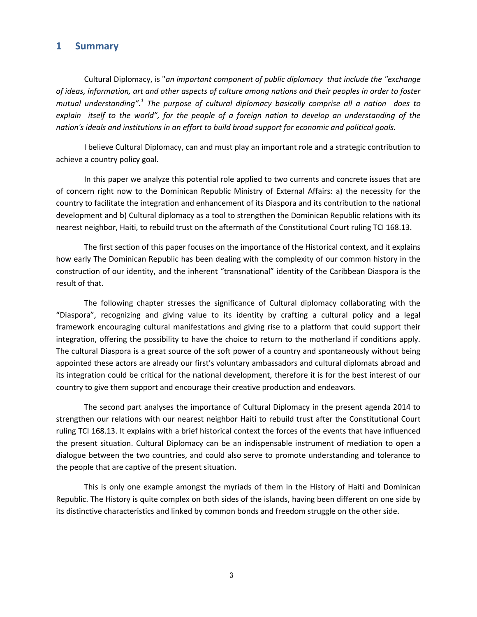#### <span id="page-2-0"></span>**1 Summary**

Cultural Diplomacy, is "*an important component of public diplomacy that include the "exchange of ideas, information, art and other aspects of culture among nations and their peoples in order to foster mutual understanding".<sup>1</sup> The purpose of cultural diplomacy basically comprise all a nation does to explain itself to the world", for the people of a foreign nation to develop an understanding of the nation's ideals and institutions in an effort to build broad support for economic and political goals.*

I believe Cultural Diplomacy, can and must play an important role and a strategic contribution to achieve a country policy goal.

In this paper we analyze this potential role applied to two currents and concrete issues that are of concern right now to the Dominican Republic Ministry of External Affairs: a) the necessity for the country to facilitate the integration and enhancement of its Diaspora and its contribution to the national development and b) Cultural diplomacy as a tool to strengthen the Dominican Republic relations with its nearest neighbor, Haiti, to rebuild trust on the aftermath of the Constitutional Court ruling TCI 168.13.

The first section of this paper focuses on the importance of the Historical context, and it explains how early The Dominican Republic has been dealing with the complexity of our common history in the construction of our identity, and the inherent "transnational" identity of the Caribbean Diaspora is the result of that.

The following chapter stresses the significance of Cultural diplomacy collaborating with the "Diaspora", recognizing and giving value to its identity by crafting a cultural policy and a legal framework encouraging cultural manifestations and giving rise to a platform that could support their integration, offering the possibility to have the choice to return to the motherland if conditions apply. The cultural Diaspora is a great source of the soft power of a country and spontaneously without being appointed these actors are already our first's voluntary ambassadors and cultural diplomats abroad and its integration could be critical for the national development, therefore it is for the best interest of our country to give them support and encourage their creative production and endeavors.

The second part analyses the importance of Cultural Diplomacy in the present agenda 2014 to strengthen our relations with our nearest neighbor Haiti to rebuild trust after the Constitutional Court ruling TCI 168.13. It explains with a brief historical context the forces of the events that have influenced the present situation. Cultural Diplomacy can be an indispensable instrument of mediation to open a dialogue between the two countries, and could also serve to promote understanding and tolerance to the people that are captive of the present situation.

This is only one example amongst the myriads of them in the History of Haiti and Dominican Republic. The History is quite complex on both sides of the islands, having been different on one side by its distinctive characteristics and linked by common bonds and freedom struggle on the other side.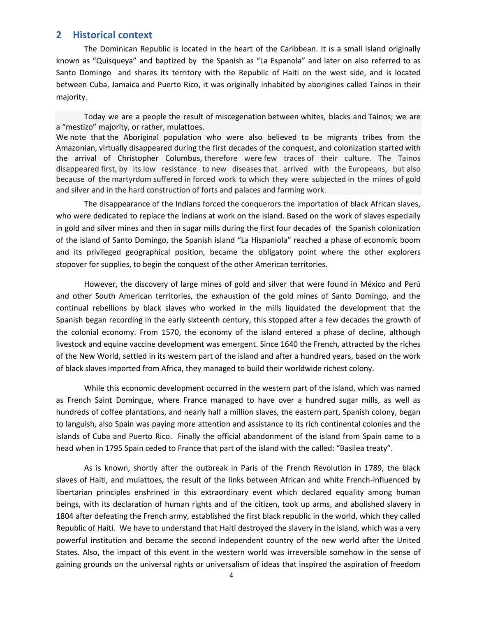#### <span id="page-3-0"></span>**2 Historical context**

The Dominican Republic is located in the heart of the Caribbean. It is a small island originally known as "Quisqueya" and baptized by the Spanish as "La Espanola" and later on also referred to as Santo Domingo and shares its territory with the Republic of Haiti on the west side, and is located between Cuba, Jamaica and Puerto Rico, it was originally inhabited by aborigines called Tainos in their majority.

Today we are a people the result of miscegenation between whites, blacks and Tainos; we are a "mestizo" majority, or rather, mulattoes. We note that the Aboriginal population who were also believed to be migrants tribes from the Amazonian, virtually disappeared during the first decades of the conquest, and colonization started with the arrival of Christopher Columbus, therefore were few traces of their culture. The Tainos disappeared first, by its low resistance to new diseases that arrived with the Europeans, but also because of the martyrdom suffered in forced work to which they were subjected in the mines of gold and silver and in the hard construction of forts and palaces and farming work.

The disappearance of the Indians forced the conquerors the importation of black African slaves, who were dedicated to replace the Indians at work on the island. Based on the work of slaves especially in gold and silver mines and then in sugar mills during the first four decades of the Spanish colonization of the island of Santo Domingo, the Spanish island "La Hispaniola" reached a phase of economic boom and its privileged geographical position, became the obligatory point where the other explorers stopover for supplies, to begin the conquest of the other American territories.

However, the discovery of large mines of gold and silver that were found in México and Perú and other South American territories, the exhaustion of the gold mines of Santo Domingo, and the continual rebellions by black slaves who worked in the mills liquidated the development that the Spanish began recording in the early sixteenth century, this stopped after a few decades the growth of the colonial economy. From 1570, the economy of the island entered a phase of decline, although livestock and equine vaccine development was emergent. Since 1640 the French, attracted by the riches of the New World, settled in its western part of the island and after a hundred years, based on the work of black slaves imported from Africa, they managed to build their worldwide richest colony.

While this economic development occurred in the western part of the island, which was named as French Saint Domingue, where France managed to have over a hundred sugar mills, as well as hundreds of coffee plantations, and nearly half a million slaves, the eastern part, Spanish colony, began to languish, also Spain was paying more attention and assistance to its rich continental colonies and the islands of Cuba and Puerto Rico. Finally the official abandonment of the island from Spain came to a head when in 1795 Spain ceded to France that part of the island with the called: "Basilea treaty".

As is known, shortly after the outbreak in Paris of the French Revolution in 1789, the black slaves of Haiti, and mulattoes, the result of the links between African and white French-influenced by libertarian principles enshrined in this extraordinary event which declared equality among human beings, with its declaration of human rights and of the citizen, took up arms, and abolished slavery in 1804 after defeating the French army, established the first black republic in the world, which they called Republic of Haiti. We have to understand that Haiti destroyed the slavery in the island, which was a very powerful institution and became the second independent country of the new world after the United States. Also, the impact of this event in the western world was irreversible somehow in the sense of gaining grounds on the universal rights or universalism of ideas that inspired the aspiration of freedom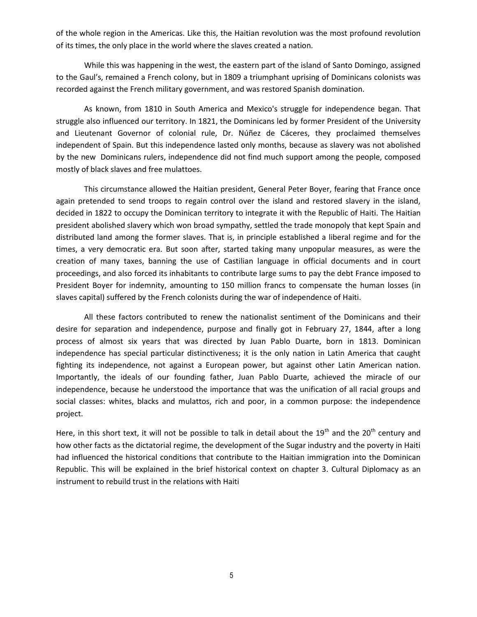of the whole region in the Americas. Like this, the Haitian revolution was the most profound revolution of its times, the only place in the world where the slaves created a nation.

While this was happening in the west, the eastern part of the island of Santo Domingo, assigned to the Gaul's, remained a French colony, but in 1809 a triumphant uprising of Dominicans colonists was recorded against the French military government, and was restored Spanish domination.

As known, from 1810 in South America and Mexico's struggle for independence began. That struggle also influenced our territory. In 1821, the Dominicans led by former President of the University and Lieutenant Governor of colonial rule, Dr. Núñez de Cáceres, they proclaimed themselves independent of Spain. But this independence lasted only months, because as slavery was not abolished by the new Dominicans rulers, independence did not find much support among the people, composed mostly of black slaves and free mulattoes.

This circumstance allowed the Haitian president, General Peter Boyer, fearing that France once again pretended to send troops to regain control over the island and restored slavery in the island, decided in 1822 to occupy the Dominican territory to integrate it with the Republic of Haiti. The Haitian president abolished slavery which won broad sympathy, settled the trade monopoly that kept Spain and distributed land among the former slaves. That is, in principle established a liberal regime and for the times, a very democratic era. But soon after, started taking many unpopular measures, as were the creation of many taxes, banning the use of Castilian language in official documents and in court proceedings, and also forced its inhabitants to contribute large sums to pay the debt France imposed to President Boyer for indemnity, amounting to 150 million francs to compensate the human losses (in slaves capital) suffered by the French colonists during the war of independence of Haiti.

All these factors contributed to renew the nationalist sentiment of the Dominicans and their desire for separation and independence, purpose and finally got in February 27, 1844, after a long process of almost six years that was directed by Juan Pablo Duarte, born in 1813. Dominican independence has special particular distinctiveness; it is the only nation in Latin America that caught fighting its independence, not against a European power, but against other Latin American nation. Importantly, the ideals of our founding father, Juan Pablo Duarte, achieved the miracle of our independence, because he understood the importance that was the unification of all racial groups and social classes: whites, blacks and mulattos, rich and poor, in a common purpose: the independence project.

Here, in this short text, it will not be possible to talk in detail about the 19<sup>th</sup> and the 20<sup>th</sup> century and how other facts as the dictatorial regime, the development of the Sugar industry and the poverty in Haiti had influenced the historical conditions that contribute to the Haitian immigration into the Dominican Republic. This will be explained in the brief historical context on chapter 3. Cultural Diplomacy as an instrument to rebuild trust in the relations with Haiti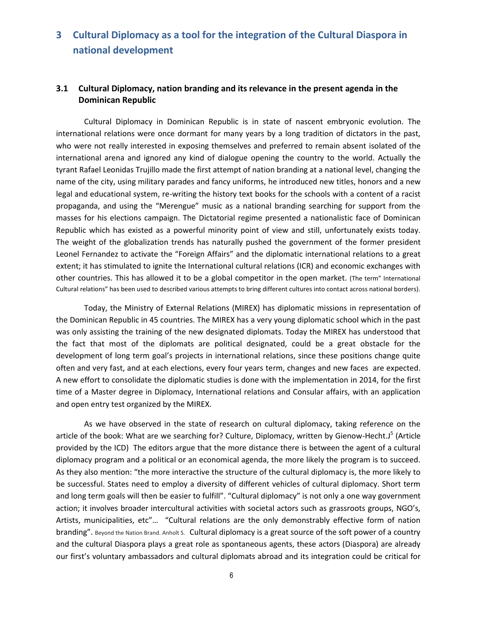# <span id="page-5-0"></span>**3 Cultural Diplomacy as a tool for the integration of the Cultural Diaspora in national development**

#### <span id="page-5-1"></span>**3.1 Cultural Diplomacy, nation branding and its relevance in the present agenda in the Dominican Republic**

Cultural Diplomacy in Dominican Republic is in state of nascent embryonic evolution. The international relations were once dormant for many years by a long tradition of dictators in the past, who were not really interested in exposing themselves and preferred to remain absent isolated of the international arena and ignored any kind of dialogue opening the country to the world. Actually the tyrant Rafael Leonidas Trujillo made the first attempt of nation branding at a national level, changing the name of the city, using military parades and fancy uniforms, he introduced new titles, honors and a new legal and educational system, re-writing the history text books for the schools with a content of a racist propaganda, and using the "Merengue" music as a national branding searching for support from the masses for his elections campaign. The Dictatorial regime presented a nationalistic face of Dominican Republic which has existed as a powerful minority point of view and still, unfortunately exists today. The weight of the globalization trends has naturally pushed the government of the former president Leonel Fernandez to activate the "Foreign Affairs" and the diplomatic international relations to a great extent; it has stimulated to ignite the International cultural relations (ICR) and economic exchanges with other countries. This has allowed it to be a global competitor in the open market. (The term" International Cultural relations" has been used to described various attempts to bring different cultures into contact across national borders).

Today, the Ministry of External Relations (MIREX) has diplomatic missions in representation of the Dominican Republic in 45 countries. The MIREX has a very young diplomatic school which in the past was only assisting the training of the new designated diplomats. Today the MIREX has understood that the fact that most of the diplomats are political designated, could be a great obstacle for the development of long term goal's projects in international relations, since these positions change quite often and very fast, and at each elections, every four years term, changes and new faces are expected. A new effort to consolidate the diplomatic studies is done with the implementation in 2014, for the first time of a Master degree in Diplomacy, International relations and Consular affairs, with an application and open entry test organized by the MIREX.

As we have observed in the state of research on cultural diplomacy, taking reference on the article of the book: What are we searching for? Culture, Diplomacy, written by Gienow-Hecht.J<sup>5</sup> (Article provided by the ICD) The editors argue that the more distance there is between the agent of a cultural diplomacy program and a political or an economical agenda, the more likely the program is to succeed. As they also mention: "the more interactive the structure of the cultural diplomacy is, the more likely to be successful. States need to employ a diversity of different vehicles of cultural diplomacy. Short term and long term goals will then be easier to fulfill". "Cultural diplomacy" is not only a one way government action; it involves broader intercultural activities with societal actors such as grassroots groups, NGO's, Artists, municipalities, etc"… "Cultural relations are the only demonstrably effective form of nation branding". Beyond the Nation Brand. Anholt S. Cultural diplomacy is a great source of the soft power of a country and the cultural Diaspora plays a great role as spontaneous agents, these actors (Diaspora) are already our first's voluntary ambassadors and cultural diplomats abroad and its integration could be critical for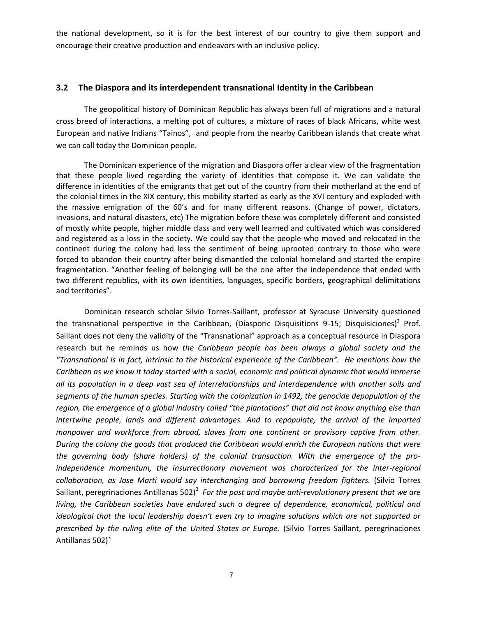the national development, so it is for the best interest of our country to give them support and encourage their creative production and endeavors with an inclusive policy.

#### <span id="page-6-0"></span>**3.2 The Diaspora and its interdependent transnational Identity in the Caribbean**

The geopolitical history of Dominican Republic has always been full of migrations and a natural cross breed of interactions, a melting pot of cultures, a mixture of races of black Africans, white west European and native Indians "Tainos", and people from the nearby Caribbean islands that create what we can call today the Dominican people.

The Dominican experience of the migration and Diaspora offer a clear view of the fragmentation that these people lived regarding the variety of identities that compose it. We can validate the difference in identities of the emigrants that get out of the country from their motherland at the end of the colonial times in the XIX century, this mobility started as early as the XVI century and exploded with the massive emigration of the 60's and for many different reasons. (Change of power, dictators, invasions, and natural disasters, etc) The migration before these was completely different and consisted of mostly white people, higher middle class and very well learned and cultivated which was considered and registered as a loss in the society. We could say that the people who moved and relocated in the continent during the colony had less the sentiment of being uprooted contrary to those who were forced to abandon their country after being dismantled the colonial homeland and started the empire fragmentation. "Another feeling of belonging will be the one after the independence that ended with two different republics, with its own identities, languages, specific borders, geographical delimitations and territories".

Dominican research scholar Silvio Torres-Saillant, professor at Syracuse University questioned the transnational perspective in the Caribbean, (Diasporic Disquisitions 9-15; Disquisiciones)<sup>2</sup> Prof. Saillant does not deny the validity of the "Transnational" approach as a conceptual resource in Diaspora research but he reminds us how *the Caribbean people has been always a global society and the "Transnational is in fact, intrinsic to the historical experience of the Caribbean". He mentions how the Caribbean as we know it today started with a social, economic and political dynamic that would immerse all its population in a deep vast sea of interrelationships and interdependence with another soils and segments of the human species. Starting with the colonization in 1492, the genocide depopulation of the region, the emergence of a global industry called "the plantations" that did not know anything else than intertwine people, lands and different advantages. And to repopulate, the arrival of the imported manpower and workforce from abroad, slaves from one continent or provisory captive from other. During the colony the goods that produced the Caribbean would enrich the European nations that were the governing body (share holders) of the colonial transaction. With the emergence of the proindependence momentum, the insurrectionary movement was characterized for the inter-regional collaboration, as Jose Marti would say interchanging and borrowing freedom fighters.* (Silvio Torres Saillant, peregrinaciones Antillanas 502)<sup>3</sup> For the post and maybe anti-revolutionary present that we are *living, the Caribbean societies have endured such a degree of dependence, economical, political and ideological that the local leadership doesn't even try to imagine solutions which are not supported or prescribed by the ruling elite of the United States or Europe*. (Silvio Torres Saillant, peregrinaciones Antillanas 502) $3$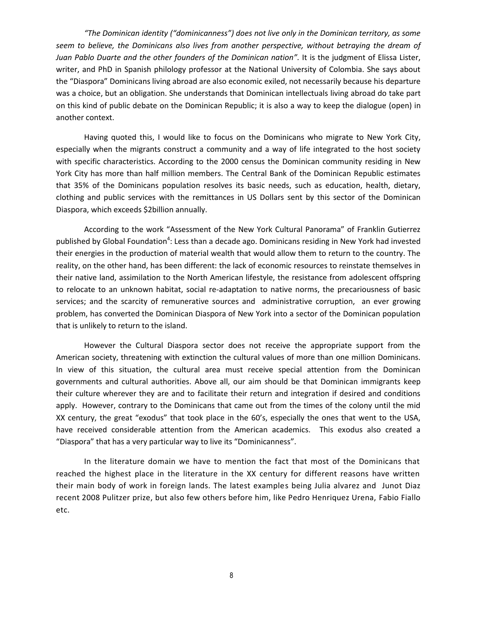*"The Dominican identity ("dominicanness") does not live only in the Dominican territory, as some seem to believe, the Dominicans also lives from another perspective, without betraying the dream of Juan Pablo Duarte and the other founders of the Dominican nation".* It is the judgment of Elissa Lister, writer, and PhD in Spanish philology professor at the National University of Colombia. She says about the "Diaspora" Dominicans living abroad are also economic exiled, not necessarily because his departure was a choice, but an obligation. She understands that Dominican intellectuals living abroad do take part on this kind of public debate on the Dominican Republic; it is also a way to keep the dialogue (open) in another context.

Having quoted this, I would like to focus on the Dominicans who migrate to New York City, especially when the migrants construct a community and a way of life integrated to the host society with specific characteristics. According to the 2000 census the Dominican community residing in New York City has more than half million members. The Central Bank of the Dominican Republic estimates that 35% of the Dominicans population resolves its basic needs, such as education, health, dietary, clothing and public services with the remittances in US Dollars sent by this sector of the Dominican Diaspora, which exceeds \$2billion annually.

According to the work "Assessment of the New York Cultural Panorama" of Franklin Gutierrez published by Global Foundation<sup>4</sup>: Less than a decade ago. Dominicans residing in New York had invested their energies in the production of material wealth that would allow them to return to the country. The reality, on the other hand, has been different: the lack of economic resources to reinstate themselves in their native land, assimilation to the North American lifestyle, the resistance from adolescent offspring to relocate to an unknown habitat, social re-adaptation to native norms, the precariousness of basic services; and the scarcity of remunerative sources and administrative corruption, an ever growing problem, has converted the Dominican Diaspora of New York into a sector of the Dominican population that is unlikely to return to the island.

However the Cultural Diaspora sector does not receive the appropriate support from the American society, threatening with extinction the cultural values of more than one million Dominicans. In view of this situation, the cultural area must receive special attention from the Dominican governments and cultural authorities. Above all, our aim should be that Dominican immigrants keep their culture wherever they are and to facilitate their return and integration if desired and conditions apply. However, contrary to the Dominicans that came out from the times of the colony until the mid XX century, the great "exodus" that took place in the 60's, especially the ones that went to the USA, have received considerable attention from the American academics. This exodus also created a "Diaspora" that has a very particular way to live its "Dominicanness".

In the literature domain we have to mention the fact that most of the Dominicans that reached the highest place in the literature in the XX century for different reasons have written their main body of work in foreign lands. The latest examples being Julia alvarez and Junot Diaz recent 2008 Pulitzer prize, but also few others before him, like Pedro Henriquez Urena, Fabio Fiallo etc.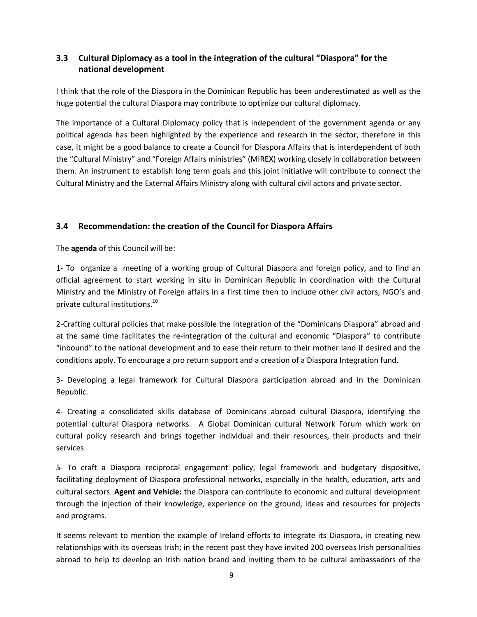### <span id="page-8-0"></span>**3.3 Cultural Diplomacy as a tool in the integration of the cultural "Diaspora" for the national development**

I think that the role of the Diaspora in the Dominican Republic has been underestimated as well as the huge potential the cultural Diaspora may contribute to optimize our cultural diplomacy.

The importance of a Cultural Diplomacy policy that is independent of the government agenda or any political agenda has been highlighted by the experience and research in the sector, therefore in this case, it might be a good balance to create a Council for Diaspora Affairs that is interdependent of both the "Cultural Ministry" and "Foreign Affairs ministries" (MIREX) working closely in collaboration between them. An instrument to establish long term goals and this joint initiative will contribute to connect the Cultural Ministry and the External Affairs Ministry along with cultural civil actors and private sector.

### <span id="page-8-1"></span>**3.4 Recommendation: the creation of the Council for Diaspora Affairs**

The **agenda** of this Council will be:

1- To organize a meeting of a working group of Cultural Diaspora and foreign policy, and to find an official agreement to start working in situ in Dominican Republic in coordination with the Cultural Ministry and the Ministry of Foreign affairs in a first time then to include other civil actors, NGO's and private cultural institutions.<sup>10</sup>

2-Crafting cultural policies that make possible the integration of the "Dominicans Diaspora" abroad and at the same time facilitates the re-integration of the cultural and economic "Diaspora" to contribute "inbound" to the national development and to ease their return to their mother land if desired and the conditions apply. To encourage a pro return support and a creation of a Diaspora Integration fund.

3- Developing a legal framework for Cultural Diaspora participation abroad and in the Dominican Republic.

4- Creating a consolidated skills database of Dominicans abroad cultural Diaspora, identifying the potential cultural Diaspora networks. A Global Dominican cultural Network Forum which work on cultural policy research and brings together individual and their resources, their products and their services.

5- To craft a Diaspora reciprocal engagement policy, legal framework and budgetary dispositive, facilitating deployment of Diaspora professional networks, especially in the health, education, arts and cultural sectors. **Agent and Vehicle:** the Diaspora can contribute to economic and cultural development through the injection of their knowledge, experience on the ground, ideas and resources for projects and programs.

It seems relevant to mention the example of Ireland efforts to integrate its Diaspora, in creating new relationships with its overseas Irish; in the recent past they have invited 200 overseas Irish personalities abroad to help to develop an Irish nation brand and inviting them to be cultural ambassadors of the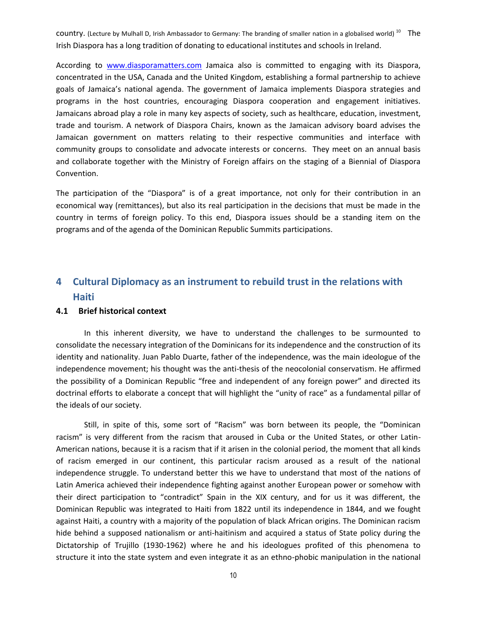country. (Lecture by Mulhall D, Irish Ambassador to Germany: The branding of smaller nation in a globalised world)  $^{10}$  The Irish Diaspora has a long tradition of donating to educational institutes and schools in Ireland.

According to [www.diasporamatters.com](http://www.diasporamatters.com/) Jamaica also is committed to engaging with its Diaspora, concentrated in the USA, Canada and the United Kingdom, establishing a formal partnership to achieve goals of Jamaica's national agenda. The government of Jamaica implements Diaspora strategies and programs in the host countries, encouraging Diaspora cooperation and engagement initiatives. Jamaicans abroad play a role in many key aspects of society, such as healthcare, education, investment, trade and tourism. A network of Diaspora Chairs, known as the Jamaican advisory board advises the Jamaican government on matters relating to their respective communities and interface with community groups to consolidate and advocate interests or concerns. They meet on an annual basis and collaborate together with the Ministry of Foreign affairs on the staging of a Biennial of Diaspora Convention.

The participation of the "Diaspora" is of a great importance, not only for their contribution in an economical way (remittances), but also its real participation in the decisions that must be made in the country in terms of foreign policy. To this end, Diaspora issues should be a standing item on the programs and of the agenda of the Dominican Republic Summits participations.

# <span id="page-9-0"></span>**4 Cultural Diplomacy as an instrument to rebuild trust in the relations with Haiti**

#### <span id="page-9-1"></span>**4.1 Brief historical context**

In this inherent diversity, we have to understand the challenges to be surmounted to consolidate the necessary integration of the Dominicans for its independence and the construction of its identity and nationality. Juan Pablo Duarte, father of the independence, was the main ideologue of the independence movement; his thought was the anti-thesis of the neocolonial conservatism. He affirmed the possibility of a Dominican Republic "free and independent of any foreign power" and directed its doctrinal efforts to elaborate a concept that will highlight the "unity of race" as a fundamental pillar of the ideals of our society.

Still, in spite of this, some sort of "Racism" was born between its people, the "Dominican racism" is very different from the racism that aroused in Cuba or the United States, or other Latin-American nations, because it is a racism that if it arisen in the colonial period, the moment that all kinds of racism emerged in our continent, this particular racism aroused as a result of the national independence struggle. To understand better this we have to understand that most of the nations of Latin America achieved their independence fighting against another European power or somehow with their direct participation to "contradict" Spain in the XIX century, and for us it was different, the Dominican Republic was integrated to Haiti from 1822 until its independence in 1844, and we fought against Haiti, a country with a majority of the population of black African origins. The Dominican racism hide behind a supposed nationalism or anti-haitinism and acquired a status of State policy during the Dictatorship of Trujillo (1930-1962) where he and his ideologues profited of this phenomena to structure it into the state system and even integrate it as an ethno-phobic manipulation in the national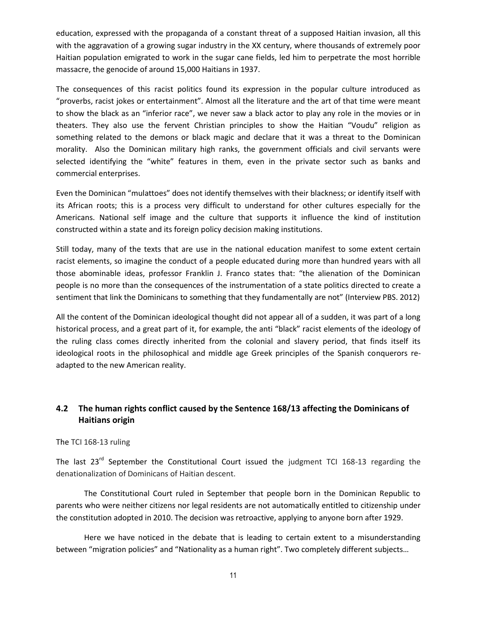education, expressed with the propaganda of a constant threat of a supposed Haitian invasion, all this with the aggravation of a growing sugar industry in the XX century, where thousands of extremely poor Haitian population emigrated to work in the sugar cane fields, led him to perpetrate the most horrible massacre, the genocide of around 15,000 Haitians in 1937.

The consequences of this racist politics found its expression in the popular culture introduced as "proverbs, racist jokes or entertainment". Almost all the literature and the art of that time were meant to show the black as an "inferior race", we never saw a black actor to play any role in the movies or in theaters. They also use the fervent Christian principles to show the Haitian "Voudu" religion as something related to the demons or black magic and declare that it was a threat to the Dominican morality. Also the Dominican military high ranks, the government officials and civil servants were selected identifying the "white" features in them, even in the private sector such as banks and commercial enterprises.

Even the Dominican "mulattoes" does not identify themselves with their blackness; or identify itself with its African roots; this is a process very difficult to understand for other cultures especially for the Americans. National self image and the culture that supports it influence the kind of institution constructed within a state and its foreign policy decision making institutions.

Still today, many of the texts that are use in the national education manifest to some extent certain racist elements, so imagine the conduct of a people educated during more than hundred years with all those abominable ideas, professor Franklin J. Franco states that: "the alienation of the Dominican people is no more than the consequences of the instrumentation of a state politics directed to create a sentiment that link the Dominicans to something that they fundamentally are not" (Interview PBS. 2012)

All the content of the Dominican ideological thought did not appear all of a sudden, it was part of a long historical process, and a great part of it, for example, the anti "black" racist elements of the ideology of the ruling class comes directly inherited from the colonial and slavery period, that finds itself its ideological roots in the philosophical and middle age Greek principles of the Spanish conquerors readapted to the new American reality.

### <span id="page-10-0"></span>**4.2 The human rights conflict caused by the Sentence 168/13 affecting the Dominicans of Haitians origin**

#### The TCI 168-13 ruling

The last 23<sup>rd</sup> September the Constitutional Court issued the judgment TCI 168-13 regarding the denationalization of Dominicans of Haitian descent.

The Constitutional Court ruled in September that people born in the Dominican Republic to parents who were neither citizens nor legal residents are not automatically entitled to citizenship under the constitution adopted in 2010. The decision was retroactive, applying to anyone born after 1929.

Here we have noticed in the debate that is leading to certain extent to a misunderstanding between "migration policies" and "Nationality as a human right". Two completely different subjects…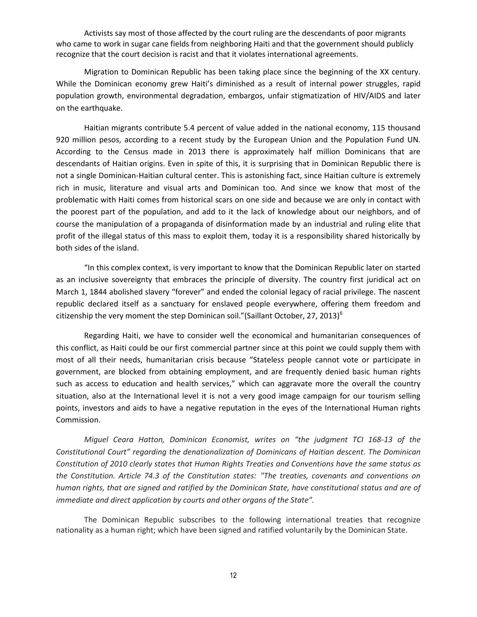Activists say most of those affected by the court ruling are the descendants of poor migrants who came to work in sugar cane fields from neighboring Haiti and that the government should publicly recognize that the court decision is racist and that it violates international agreements.

Migration to Dominican Republic has been taking place since the beginning of the XX century. While the Dominican economy grew Haiti's diminished as a result of internal power struggles, rapid population growth, environmental degradation, embargos, unfair stigmatization of HIV/AIDS and later on the earthquake.

Haitian migrants contribute 5.4 percent of value added in the national economy, 115 thousand 920 million pesos, according to a recent study by the European Union and the Population Fund UN. According to the Census made in 2013 there is approximately half million Dominicans that are descendants of Haitian origins. Even in spite of this, it is surprising that in Dominican Republic there is not a single Dominican-Haitian cultural center. This is astonishing fact, since Haitian culture is extremely rich in music, literature and visual arts and Dominican too. And since we know that most of the problematic with Haiti comes from historical scars on one side and because we are only in contact with the poorest part of the population, and add to it the lack of knowledge about our neighbors, and of course the manipulation of a propaganda of disinformation made by an industrial and ruling elite that profit of the illegal status of this mass to exploit them, today it is a responsibility shared historically by both sides of the island.

"In this complex context, is very important to know that the Dominican Republic later on started as an inclusive sovereignty that embraces the principle of diversity. The country first juridical act on March 1, 1844 abolished slavery "forever" and ended the colonial legacy of racial privilege. The nascent republic declared itself as a sanctuary for enslaved people everywhere, offering them freedom and citizenship the very moment the step Dominican soil."(Saillant October, 27, 2013)<sup>6</sup>

Regarding Haiti, we have to consider well the economical and humanitarian consequences of this conflict, as Haiti could be our first commercial partner since at this point we could supply them with most of all their needs, humanitarian crisis because "Stateless people cannot vote or participate in government, are blocked from obtaining employment, and are frequently denied basic human rights such as access to education and health services," which can aggravate more the overall the country situation, also at the International level it is not a very good image campaign for our tourism selling points, investors and aids to have a negative reputation in the eyes of the International Human rights Commission.

*Miguel Ceara Hatton, Dominican Economist, writes on "the judgment TCI 168-13 of the Constitutional Court" regarding the denationalization of Dominicans of Haitian descent. The Dominican Constitution of 2010 clearly states that Human Rights Treaties and Conventions have the same status as the Constitution. Article 74.3 of the Constitution states: "The treaties, covenants and conventions on human rights, that are signed and ratified by the Dominican State, have constitutional status and are of immediate and direct application by courts and other organs of the State".* 

The Dominican Republic subscribes to the following international treaties that recognize nationality as a human right; which have been signed and ratified voluntarily by the Dominican State.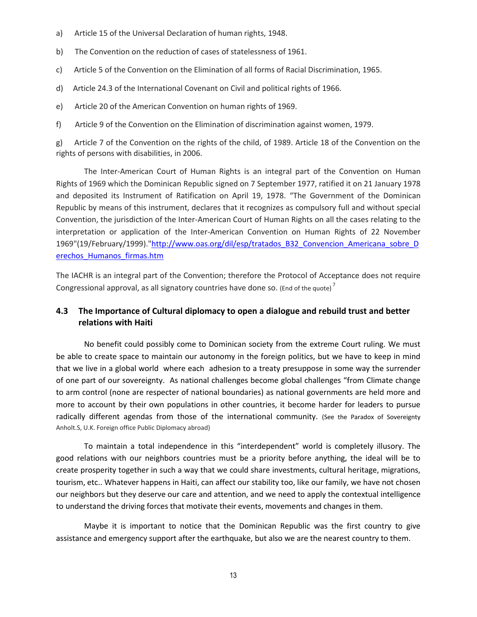- a) Article 15 of the Universal Declaration of human rights, 1948.
- b) The Convention on the reduction of cases of statelessness of 1961.
- c) Article 5 of the Convention on the Elimination of all forms of Racial Discrimination, 1965.
- d) Article 24.3 of the International Covenant on Civil and political rights of 1966.
- e) Article 20 of the American Convention on human rights of 1969.
- f) Article 9 of the Convention on the Elimination of discrimination against women, 1979.

g) Article 7 of the Convention on the rights of the child, of 1989. Article 18 of the Convention on the rights of persons with disabilities, in 2006.

The Inter-American Court of Human Rights is an integral part of the Convention on Human Rights of 1969 which the Dominican Republic signed on 7 September 1977, ratified it on 21 January 1978 and deposited its Instrument of Ratification on April 19, 1978. "The Government of the Dominican Republic by means of this instrument, declares that it recognizes as compulsory full and without special Convention, the jurisdiction of the Inter-American Court of Human Rights on all the cases relating to the interpretation or application of the Inter-American Convention on Human Rights of 22 November 1969"(19/February/1999).["http://www.oas.org/dil/esp/tratados\\_B32\\_Convencion\\_Americana\\_sobre\\_D](http://www.oas.org/dil/esp/tratados_B32_Convencion_Americana_sobre_Derechos_Humanos_firmas.htm) [erechos\\_Humanos\\_firmas.htm](http://www.oas.org/dil/esp/tratados_B32_Convencion_Americana_sobre_Derechos_Humanos_firmas.htm)

The IACHR is an integral part of the Convention; therefore the Protocol of Acceptance does not require Congressional approval, as all signatory countries have done so. (End of the quote)<sup>7</sup>

### <span id="page-12-0"></span>**4.3 The Importance of Cultural diplomacy to open a dialogue and rebuild trust and better relations with Haiti**

No benefit could possibly come to Dominican society from the extreme Court ruling. We must be able to create space to maintain our autonomy in the foreign politics, but we have to keep in mind that we live in a global world where each adhesion to a treaty presuppose in some way the surrender of one part of our sovereignty. As national challenges become global challenges "from Climate change to arm control (none are respecter of national boundaries) as national governments are held more and more to account by their own populations in other countries, it become harder for leaders to pursue radically different agendas from those of the international community. (See the Paradox of Sovereignty Anholt.S, U.K. Foreign office Public Diplomacy abroad)

To maintain a total independence in this "interdependent" world is completely illusory. The good relations with our neighbors countries must be a priority before anything, the ideal will be to create prosperity together in such a way that we could share investments, cultural heritage, migrations, tourism, etc.. Whatever happens in Haiti, can affect our stability too, like our family, we have not chosen our neighbors but they deserve our care and attention, and we need to apply the contextual intelligence to understand the driving forces that motivate their events, movements and changes in them.

Maybe it is important to notice that the Dominican Republic was the first country to give assistance and emergency support after the earthquake, but also we are the nearest country to them.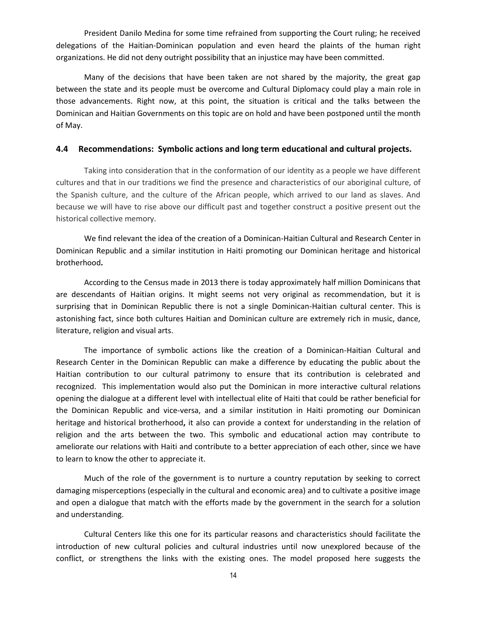President Danilo Medina for some time refrained from supporting the Court ruling; he received delegations of the Haitian-Dominican population and even heard the plaints of the human right organizations. He did not deny outright possibility that an injustice may have been committed.

Many of the decisions that have been taken are not shared by the majority, the great gap between the state and its people must be overcome and Cultural Diplomacy could play a main role in those advancements. Right now, at this point, the situation is critical and the talks between the Dominican and Haitian Governments on this topic are on hold and have been postponed until the month of May.

#### <span id="page-13-0"></span>**4.4 Recommendations: Symbolic actions and long term educational and cultural projects.**

Taking into consideration that in the conformation of our identity as a people we have different cultures and that in our traditions we find the presence and characteristics of our aboriginal culture, of the Spanish culture, and the culture of the African people, which arrived to our land as slaves. And because we will have to rise above our difficult past and together construct a positive present out the historical collective memory.

We find relevant the idea of the creation of a Dominican-Haitian Cultural and Research Center in Dominican Republic and a similar institution in Haiti promoting our Dominican heritage and historical brotherhood**.** 

According to the Census made in 2013 there is today approximately half million Dominicans that are descendants of Haitian origins. It might seems not very original as recommendation, but it is surprising that in Dominican Republic there is not a single Dominican-Haitian cultural center. This is astonishing fact, since both cultures Haitian and Dominican culture are extremely rich in music, dance, literature, religion and visual arts.

The importance of symbolic actions like the creation of a Dominican-Haitian Cultural and Research Center in the Dominican Republic can make a difference by educating the public about the Haitian contribution to our cultural patrimony to ensure that its contribution is celebrated and recognized. This implementation would also put the Dominican in more interactive cultural relations opening the dialogue at a different level with intellectual elite of Haiti that could be rather beneficial for the Dominican Republic and vice-versa, and a similar institution in Haiti promoting our Dominican heritage and historical brotherhood**,** it also can provide a context for understanding in the relation of religion and the arts between the two. This symbolic and educational action may contribute to ameliorate our relations with Haiti and contribute to a better appreciation of each other, since we have to learn to know the other to appreciate it.

Much of the role of the government is to nurture a country reputation by seeking to correct damaging misperceptions (especially in the cultural and economic area) and to cultivate a positive image and open a dialogue that match with the efforts made by the government in the search for a solution and understanding.

Cultural Centers like this one for its particular reasons and characteristics should facilitate the introduction of new cultural policies and cultural industries until now unexplored because of the conflict, or strengthens the links with the existing ones. The model proposed here suggests the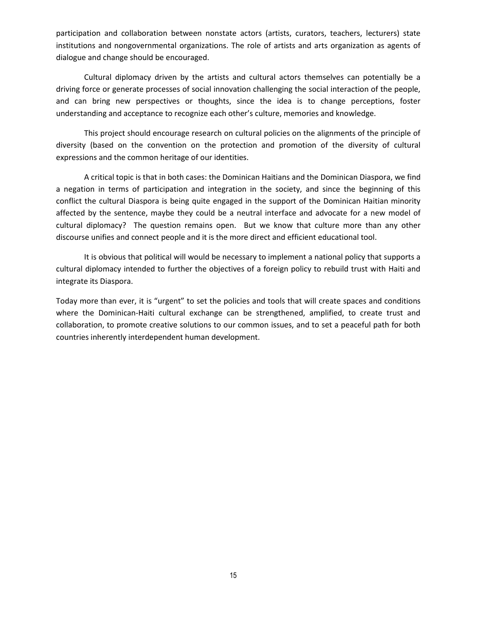participation and collaboration between nonstate actors (artists, curators, teachers, lecturers) state institutions and nongovernmental organizations. The role of artists and arts organization as agents of dialogue and change should be encouraged.

Cultural diplomacy driven by the artists and cultural actors themselves can potentially be a driving force or generate processes of social innovation challenging the social interaction of the people, and can bring new perspectives or thoughts, since the idea is to change perceptions, foster understanding and acceptance to recognize each other's culture, memories and knowledge.

This project should encourage research on cultural policies on the alignments of the principle of diversity (based on the convention on the protection and promotion of the diversity of cultural expressions and the common heritage of our identities.

A critical topic is that in both cases: the Dominican Haitians and the Dominican Diaspora, we find a negation in terms of participation and integration in the society, and since the beginning of this conflict the cultural Diaspora is being quite engaged in the support of the Dominican Haitian minority affected by the sentence, maybe they could be a neutral interface and advocate for a new model of cultural diplomacy? The question remains open. But we know that culture more than any other discourse unifies and connect people and it is the more direct and efficient educational tool.

It is obvious that political will would be necessary to implement a national policy that supports a cultural diplomacy intended to further the objectives of a foreign policy to rebuild trust with Haiti and integrate its Diaspora.

Today more than ever, it is "urgent" to set the policies and tools that will create spaces and conditions where the Dominican-Haiti cultural exchange can be strengthened, amplified, to create trust and collaboration, to promote creative solutions to our common issues, and to set a peaceful path for both countries inherently interdependent human development.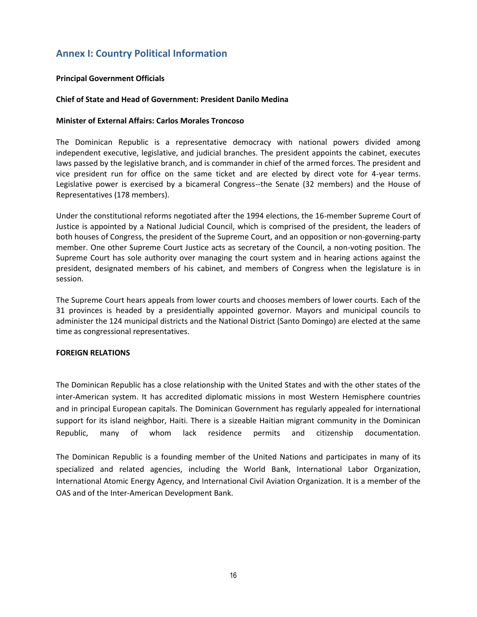# <span id="page-15-0"></span>**Annex I: Country Political Information**

#### **Principal Government Officials**

#### **Chief of State and Head of Government: President Danilo Medina**

#### **Minister of External Affairs: Carlos Morales Troncoso**

The Dominican Republic is a representative democracy with national powers divided among independent executive, legislative, and judicial branches. The president appoints the cabinet, executes laws passed by the legislative branch, and is commander in chief of the armed forces. The president and vice president run for office on the same ticket and are elected by direct vote for 4-year terms. Legislative power is exercised by a bicameral Congress--the Senate (32 members) and the House of Representatives (178 members).

Under the constitutional reforms negotiated after the 1994 elections, the 16-member Supreme Court of Justice is appointed by a National Judicial Council, which is comprised of the president, the leaders of both houses of Congress, the president of the Supreme Court, and an opposition or non-governing-party member. One other Supreme Court Justice acts as secretary of the Council, a non-voting position. The Supreme Court has sole authority over managing the court system and in hearing actions against the president, designated members of his cabinet, and members of Congress when the legislature is in session.

The Supreme Court hears appeals from lower courts and chooses members of lower courts. Each of the 31 provinces is headed by a presidentially appointed governor. Mayors and municipal councils to administer the 124 municipal districts and the National District (Santo Domingo) are elected at the same time as congressional representatives.

#### **FOREIGN RELATIONS**

The Dominican Republic has a close relationship with the United States and with the other states of the inter-American system. It has accredited diplomatic missions in most Western Hemisphere countries and in principal European capitals. The Dominican Government has regularly appealed for international support for its island neighbor, Haiti. There is a sizeable Haitian migrant community in the Dominican Republic, many of whom lack residence permits and citizenship documentation.

The Dominican Republic is a founding member of the United Nations and participates in many of its specialized and related agencies, including the World Bank, International Labor Organization, International Atomic Energy Agency, and International Civil Aviation Organization. It is a member of the OAS and of the Inter-American Development Bank.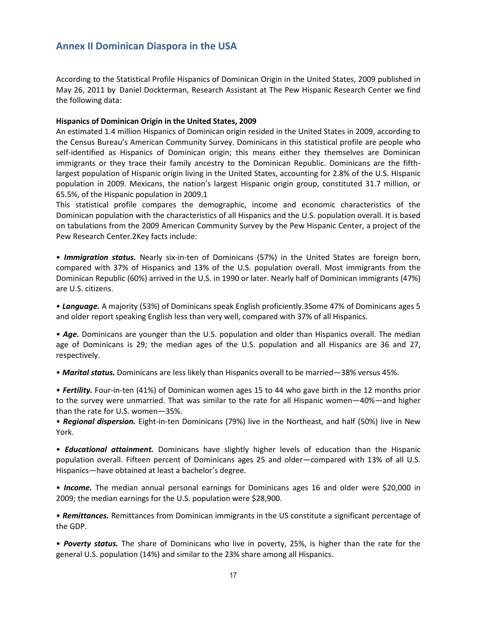# <span id="page-16-0"></span>**Annex II Dominican Diaspora in the USA**

According to the Statistical Profile Hispanics of Dominican Origin in the United States, 2009 published in May 26, 2011 by Daniel Dockterman, Research Assistant at The Pew Hispanic Research Center we find the following data:

#### **Hispanics of Dominican Origin in the United States, 2009**

An estimated 1.4 million Hispanics of Dominican origin resided in the United States in 2009, according to the Census Bureau's American Community Survey. Dominicans in this statistical profile are people who self-identified as Hispanics of Dominican origin; this means either they themselves are Dominican immigrants or they trace their family ancestry to the Dominican Republic. Dominicans are the fifthlargest population of Hispanic origin living in the United States, accounting for 2.8% of the U.S. Hispanic population in 2009. Mexicans, the nation's largest Hispanic origin group, constituted 31.7 million, or 65.5%, of the Hispanic population in 2009.1

This statistical profile compares the demographic, income and economic characteristics of the Dominican population with the characteristics of all Hispanics and the U.S. population overall. It is based on tabulations from the 2009 American Community Survey by the Pew Hispanic Center, a project of the Pew Research Center.2Key facts include:

• *Immigration status.* Nearly six-in-ten of Dominicans (57%) in the United States are foreign born, compared with 37% of Hispanics and 13% of the U.S. population overall. Most immigrants from the Dominican Republic (60%) arrived in the U.S. in 1990 or later. Nearly half of Dominican immigrants (47%) are U.S. citizens.

• *Language.* A majority (53%) of Dominicans speak English proficiently.3Some 47% of Dominicans ages 5 and older report speaking English less than very well, compared with 37% of all Hispanics.

• *Age.* Dominicans are younger than the U.S. population and older than Hispanics overall. The median age of Dominicans is 29; the median ages of the U.S. population and all Hispanics are 36 and 27, respectively.

• *Marital status.* Dominicans are less likely than Hispanics overall to be married—38% versus 45%.

• *Fertility.* Four-in-ten (41%) of Dominican women ages 15 to 44 who gave birth in the 12 months prior to the survey were unmarried. That was similar to the rate for all Hispanic women—40%—and higher than the rate for U.S. women—35%.

• *Regional dispersion.* Eight-in-ten Dominicans (79%) live in the Northeast, and half (50%) live in New York.

• *Educational attainment.* Dominicans have slightly higher levels of education than the Hispanic population overall. Fifteen percent of Dominicans ages 25 and older—compared with 13% of all U.S. Hispanics—have obtained at least a bachelor's degree.

• *Income.* The median annual personal earnings for Dominicans ages 16 and older were \$20,000 in 2009; the median earnings for the U.S. population were \$28,900.

• *Remittances.* Remittances from Dominican immigrants in the US constitute a significant percentage of the GDP.

• *Poverty status.* The share of Dominicans who live in poverty, 25%, is higher than the rate for the general U.S. population (14%) and similar to the 23% share among all Hispanics.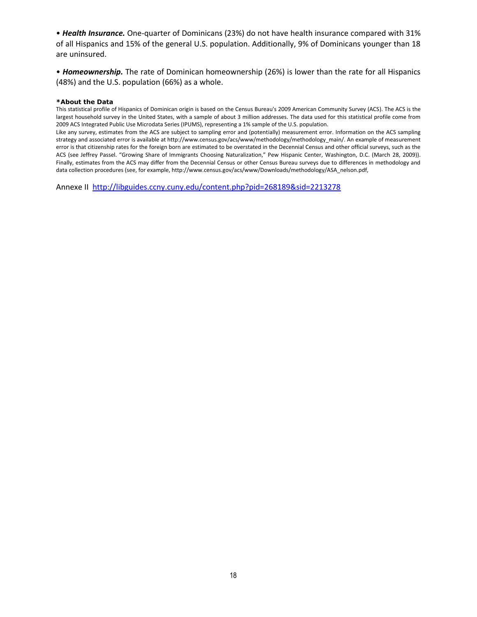• *Health Insurance.* One-quarter of Dominicans (23%) do not have health insurance compared with 31% of all Hispanics and 15% of the general U.S. population. Additionally, 9% of Dominicans younger than 18 are uninsured.

• *Homeownership.* The rate of Dominican homeownership (26%) is lower than the rate for all Hispanics (48%) and the U.S. population (66%) as a whole.

#### **\*About the Data**

This statistical profile of Hispanics of Dominican origin is based on the Census Bureau's 2009 American Community Survey (ACS). The ACS is the largest household survey in the United States, with a sample of about 3 million addresses. The data used for this statistical profile come from 2009 ACS Integrated Public Use Microdata Series (IPUMS), representing a 1% sample of the U.S. population.

Like any survey, estimates from the ACS are subject to sampling error and (potentially) measurement error. Information on the ACS sampling strategy and associated error is available at http://www.census.gov/acs/www/methodology/methodology\_main/. An example of measurement error is that citizenship rates for the foreign born are estimated to be overstated in the Decennial Census and other official surveys, such as the ACS (see Jeffrey Passel. "Growing Share of Immigrants Choosing Naturalization," Pew Hispanic Center, Washington, D.C. (March 28, 2009)). Finally, estimates from the ACS may differ from the Decennial Census or other Census Bureau surveys due to differences in methodology and data collection procedures (see, for example, http://www.census.gov/acs/www/Downloads/methodology/ASA\_nelson.pdf,

Annexe II<http://libguides.ccny.cuny.edu/content.php?pid=268189&sid=2213278>